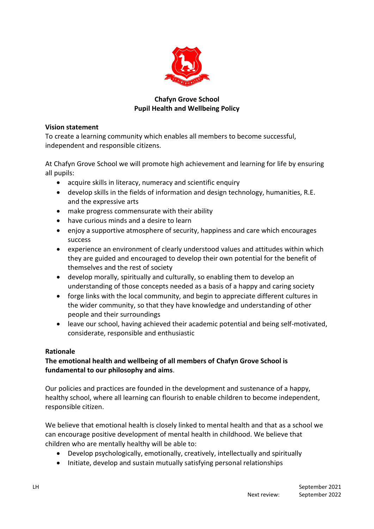

## **Chafyn Grove School Pupil Health and Wellbeing Policy**

### **Vision statement**

To create a learning community which enables all members to become successful, independent and responsible citizens.

At Chafyn Grove School we will promote high achievement and learning for life by ensuring all pupils:

- acquire skills in literacy, numeracy and scientific enquiry
- develop skills in the fields of information and design technology, humanities, R.E. and the expressive arts
- make progress commensurate with their ability
- have curious minds and a desire to learn
- enjoy a supportive atmosphere of security, happiness and care which encourages success
- experience an environment of clearly understood values and attitudes within which they are guided and encouraged to develop their own potential for the benefit of themselves and the rest of society
- develop morally, spiritually and culturally, so enabling them to develop an understanding of those concepts needed as a basis of a happy and caring society
- forge links with the local community, and begin to appreciate different cultures in the wider community, so that they have knowledge and understanding of other people and their surroundings
- leave our school, having achieved their academic potential and being self-motivated, considerate, responsible and enthusiastic

## **Rationale**

# **The emotional health and wellbeing of all members of Chafyn Grove School is fundamental to our philosophy and aims**.

Our policies and practices are founded in the development and sustenance of a happy, healthy school, where all learning can flourish to enable children to become independent, responsible citizen.

We believe that emotional health is closely linked to mental health and that as a school we can encourage positive development of mental health in childhood. We believe that children who are mentally healthy will be able to:

- Develop psychologically, emotionally, creatively, intellectually and spiritually
- Initiate, develop and sustain mutually satisfying personal relationships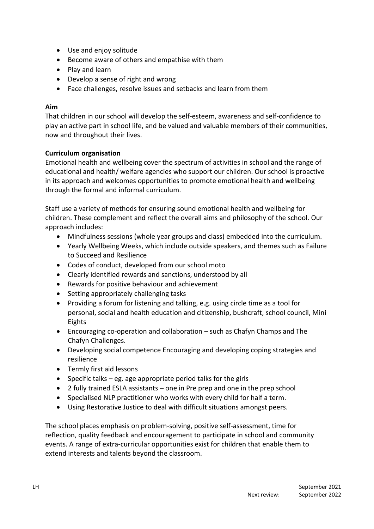- Use and enjoy solitude
- Become aware of others and empathise with them
- Play and learn
- Develop a sense of right and wrong
- Face challenges, resolve issues and setbacks and learn from them

#### **Aim**

That children in our school will develop the self-esteem, awareness and self-confidence to play an active part in school life, and be valued and valuable members of their communities, now and throughout their lives.

## **Curriculum organisation**

Emotional health and wellbeing cover the spectrum of activities in school and the range of educational and health/ welfare agencies who support our children. Our school is proactive in its approach and welcomes opportunities to promote emotional health and wellbeing through the formal and informal curriculum.

Staff use a variety of methods for ensuring sound emotional health and wellbeing for children. These complement and reflect the overall aims and philosophy of the school. Our approach includes:

- Mindfulness sessions (whole year groups and class) embedded into the curriculum.
- Yearly Wellbeing Weeks, which include outside speakers, and themes such as Failure to Succeed and Resilience
- Codes of conduct, developed from our school moto
- Clearly identified rewards and sanctions, understood by all
- Rewards for positive behaviour and achievement
- Setting appropriately challenging tasks
- Providing a forum for listening and talking, e.g. using circle time as a tool for personal, social and health education and citizenship, bushcraft, school council, Mini Eights
- Encouraging co-operation and collaboration such as Chafyn Champs and The Chafyn Challenges.
- Developing social competence Encouraging and developing coping strategies and resilience
- Termly first aid lessons
- Specific talks eg. age appropriate period talks for the girls
- 2 fully trained ESLA assistants one in Pre prep and one in the prep school
- Specialised NLP practitioner who works with every child for half a term.
- Using Restorative Justice to deal with difficult situations amongst peers.

The school places emphasis on problem-solving, positive self-assessment, time for reflection, quality feedback and encouragement to participate in school and community events. A range of extra-curricular opportunities exist for children that enable them to extend interests and talents beyond the classroom.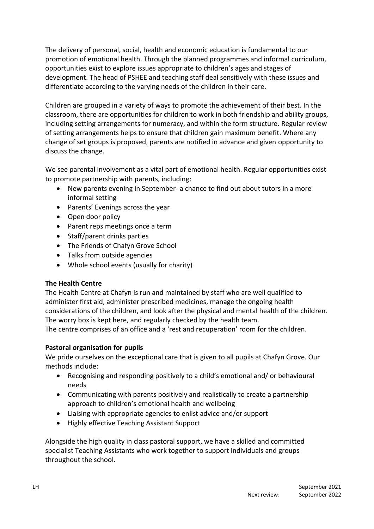The delivery of personal, social, health and economic education is fundamental to our promotion of emotional health. Through the planned programmes and informal curriculum, opportunities exist to explore issues appropriate to children's ages and stages of development. The head of PSHEE and teaching staff deal sensitively with these issues and differentiate according to the varying needs of the children in their care.

Children are grouped in a variety of ways to promote the achievement of their best. In the classroom, there are opportunities for children to work in both friendship and ability groups, including setting arrangements for numeracy, and within the form structure. Regular review of setting arrangements helps to ensure that children gain maximum benefit. Where any change of set groups is proposed, parents are notified in advance and given opportunity to discuss the change.

We see parental involvement as a vital part of emotional health. Regular opportunities exist to promote partnership with parents, including:

- New parents evening in September- a chance to find out about tutors in a more informal setting
- Parents' Evenings across the year
- Open door policy
- Parent reps meetings once a term
- Staff/parent drinks parties
- The Friends of Chafyn Grove School
- Talks from outside agencies
- Whole school events (usually for charity)

## **The Health Centre**

The Health Centre at Chafyn is run and maintained by staff who are well qualified to administer first aid, administer prescribed medicines, manage the ongoing health considerations of the children, and look after the physical and mental health of the children. The worry box is kept here, and regularly checked by the health team.

The centre comprises of an office and a 'rest and recuperation' room for the children.

## **Pastoral organisation for pupils**

We pride ourselves on the exceptional care that is given to all pupils at Chafyn Grove. Our methods include:

- Recognising and responding positively to a child's emotional and/ or behavioural needs
- Communicating with parents positively and realistically to create a partnership approach to children's emotional health and wellbeing
- Liaising with appropriate agencies to enlist advice and/or support
- Highly effective Teaching Assistant Support

Alongside the high quality in class pastoral support, we have a skilled and committed specialist Teaching Assistants who work together to support individuals and groups throughout the school.